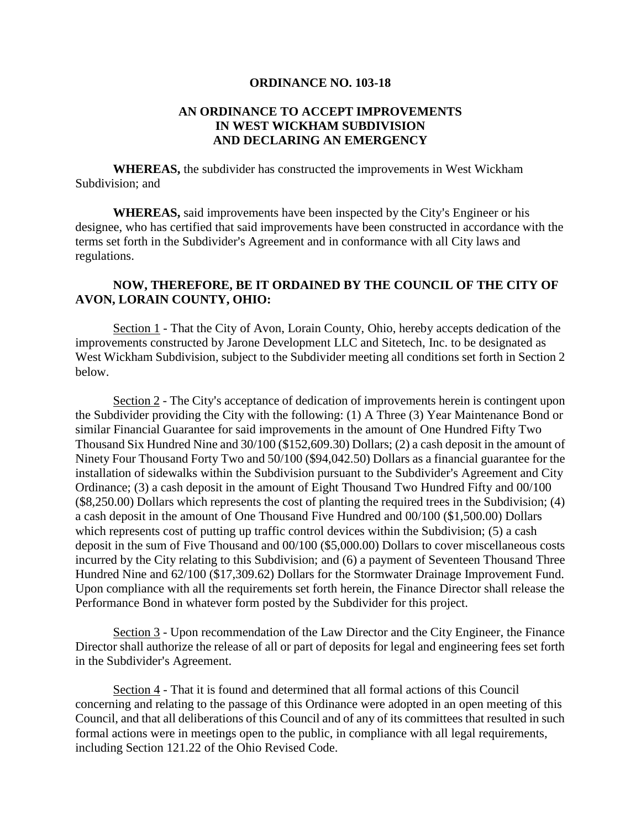## **ORDINANCE NO. 103-18**

## **AN ORDINANCE TO ACCEPT IMPROVEMENTS IN WEST WICKHAM SUBDIVISION AND DECLARING AN EMERGENCY**

**WHEREAS,** the subdivider has constructed the improvements in West Wickham Subdivision; and

**WHEREAS,** said improvements have been inspected by the City's Engineer or his designee, who has certified that said improvements have been constructed in accordance with the terms set forth in the Subdivider's Agreement and in conformance with all City laws and regulations.

## **NOW, THEREFORE, BE IT ORDAINED BY THE COUNCIL OF THE CITY OF AVON, LORAIN COUNTY, OHIO:**

Section 1 - That the City of Avon, Lorain County, Ohio, hereby accepts dedication of the improvements constructed by Jarone Development LLC and Sitetech, Inc. to be designated as West Wickham Subdivision, subject to the Subdivider meeting all conditions set forth in Section 2 below.

Section 2 - The City's acceptance of dedication of improvements herein is contingent upon the Subdivider providing the City with the following: (1) A Three (3) Year Maintenance Bond or similar Financial Guarantee for said improvements in the amount of One Hundred Fifty Two Thousand Six Hundred Nine and 30/100 (\$152,609.30) Dollars; (2) a cash deposit in the amount of Ninety Four Thousand Forty Two and 50/100 (\$94,042.50) Dollars as a financial guarantee for the installation of sidewalks within the Subdivision pursuant to the Subdivider's Agreement and City Ordinance; (3) a cash deposit in the amount of Eight Thousand Two Hundred Fifty and 00/100 (\$8,250.00) Dollars which represents the cost of planting the required trees in the Subdivision; (4) a cash deposit in the amount of One Thousand Five Hundred and 00/100 (\$1,500.00) Dollars which represents cost of putting up traffic control devices within the Subdivision; (5) a cash deposit in the sum of Five Thousand and 00/100 (\$5,000.00) Dollars to cover miscellaneous costs incurred by the City relating to this Subdivision; and (6) a payment of Seventeen Thousand Three Hundred Nine and 62/100 (\$17,309.62) Dollars for the Stormwater Drainage Improvement Fund. Upon compliance with all the requirements set forth herein, the Finance Director shall release the Performance Bond in whatever form posted by the Subdivider for this project.

Section 3 - Upon recommendation of the Law Director and the City Engineer, the Finance Director shall authorize the release of all or part of deposits for legal and engineering fees set forth in the Subdivider's Agreement.

Section 4 - That it is found and determined that all formal actions of this Council concerning and relating to the passage of this Ordinance were adopted in an open meeting of this Council, and that all deliberations of this Council and of any of its committees that resulted in such formal actions were in meetings open to the public, in compliance with all legal requirements, including Section 121.22 of the Ohio Revised Code.